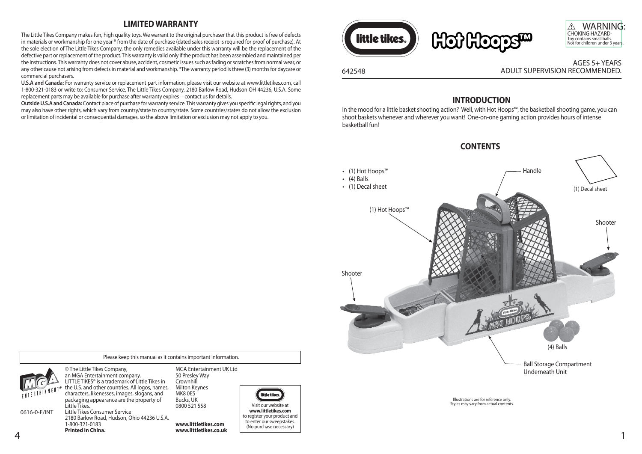### **LIMITED WARRANTY**

The Little Tikes Company makes fun, high quality toys. We warrant to the original purchaser that this product is free of defects in materials or workmanship for one year \* from the date of purchase (dated sales receipt is required for proof of purchase). At the sole election of The Little Tikes Company, the only remedies available under this warranty will be the replacement of the defective part or replacement of the product. This warranty is valid only if the product has been assembled and maintained per the instructions. This warranty does not cover abuse, accident, cosmetic issues such as fading or scratches from normal wear, or any other cause not arising from defects in material and workmanship. \*The warranty period is three (3) months for daycare or commercial purchasers.

**U.S.A and Canada:** For warranty service or replacement part information, please visit our website at www.littletikes.com, call 1-800-321-0183 or write to: Consumer Service, The Little Tikes Company, 2180 Barlow Road, Hudson OH 44236, U.S.A. Some replacement parts may be available for purchase after warranty expires—contact us for details.

**Outside U.S.A and Canada:** Contact place of purchase for warranty service. This warranty gives you specific legal rights, and you may also have other rights, which vary from country/state to country/state. Some countries/states do not allow the exclusion or limitation of incidental or consequential damages, so the above limitation or exclusion may not apply to you.



### **INTRODUCTION**

In the mood for a little basket shooting action? Well, with Hot Hoops™, the basketball shooting game, you can shoot baskets whenever and wherever you want! One-on-one gaming action provides hours of intense basketball fun!



# **CONTENTS**



0616-0-E/INT

© The Little Tikes Company, an MGA Entertainment company. LITTLE TIKES® is a trademark of Little Tikes in the U.S. and other countries. All logos, names, characters, likenesses, images, slogans, and packaging appearance are the property of Little Tikes. Little Tikes Consumer Service

1-800-321-0183 **Printed in China.**

MGA Entertainment UK Ltd 50 Presley Way **Crownhill** Milton Keynes MK8 0ES Bucks, UK 0800 521 558

Please keep this manual as it contains important information.

4 1 2180 Barlow Road, Hudson, Ohio 44236 U.S.A. **www.littletikes.com www.littletikes.co.uk**



to register your product and to enter our sweepstakes. (No purchase necessary)